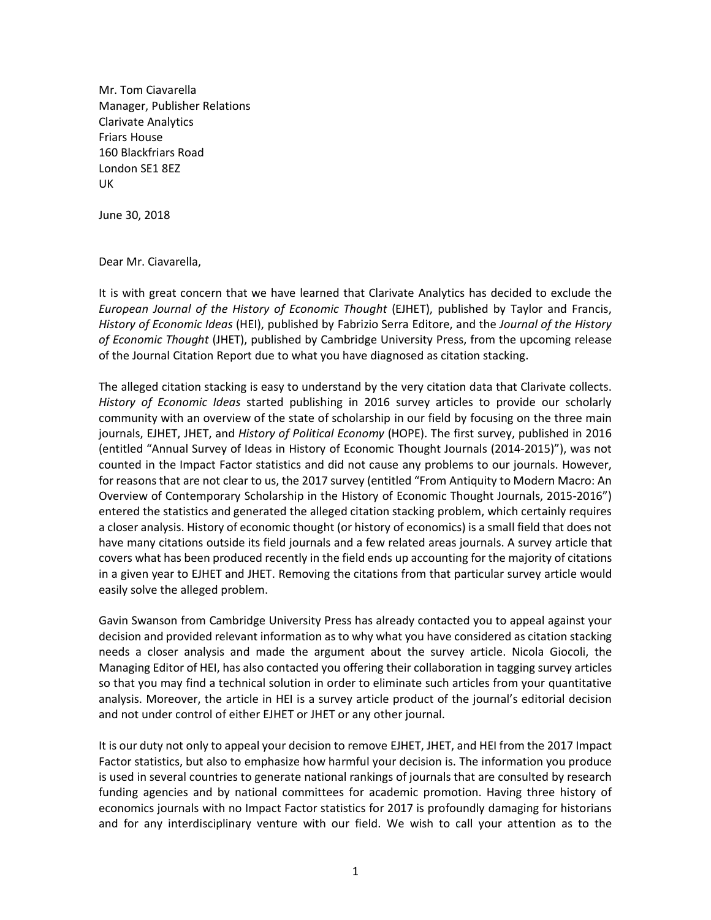Mr. Tom Ciavarella Manager, Publisher Relations Clarivate Analytics Friars House 160 Blackfriars Road London SE1 8EZ UK

June 30, 2018

Dear Mr. Ciavarella,

It is with great concern that we have learned that Clarivate Analytics has decided to exclude the *European Journal of the History of Economic Thought* (EJHET), published by Taylor and Francis, *History of Economic Ideas* (HEI), published by Fabrizio Serra Editore, and the *Journal of the History of Economic Thought* (JHET), published by Cambridge University Press, from the upcoming release of the Journal Citation Report due to what you have diagnosed as citation stacking.

The alleged citation stacking is easy to understand by the very citation data that Clarivate collects. *History of Economic Ideas* started publishing in 2016 survey articles to provide our scholarly community with an overview of the state of scholarship in our field by focusing on the three main journals, EJHET, JHET, and *History of Political Economy* (HOPE). The first survey, published in 2016 (entitled "Annual Survey of Ideas in History of Economic Thought Journals (2014-2015)"), was not counted in the Impact Factor statistics and did not cause any problems to our journals. However, for reasons that are not clear to us, the 2017 survey (entitled "From Antiquity to Modern Macro: An Overview of Contemporary Scholarship in the History of Economic Thought Journals, 2015-2016") entered the statistics and generated the alleged citation stacking problem, which certainly requires a closer analysis. History of economic thought (or history of economics) is a small field that does not have many citations outside its field journals and a few related areas journals. A survey article that covers what has been produced recently in the field ends up accounting for the majority of citations in a given year to EJHET and JHET. Removing the citations from that particular survey article would easily solve the alleged problem.

Gavin Swanson from Cambridge University Press has already contacted you to appeal against your decision and provided relevant information as to why what you have considered as citation stacking needs a closer analysis and made the argument about the survey article. Nicola Giocoli, the Managing Editor of HEI, has also contacted you offering their collaboration in tagging survey articles so that you may find a technical solution in order to eliminate such articles from your quantitative analysis. Moreover, the article in HEI is a survey article product of the journal's editorial decision and not under control of either EJHET or JHET or any other journal.

It is our duty not only to appeal your decision to remove EJHET, JHET, and HEI from the 2017 Impact Factor statistics, but also to emphasize how harmful your decision is. The information you produce is used in several countries to generate national rankings of journals that are consulted by research funding agencies and by national committees for academic promotion. Having three history of economics journals with no Impact Factor statistics for 2017 is profoundly damaging for historians and for any interdisciplinary venture with our field. We wish to call your attention as to the